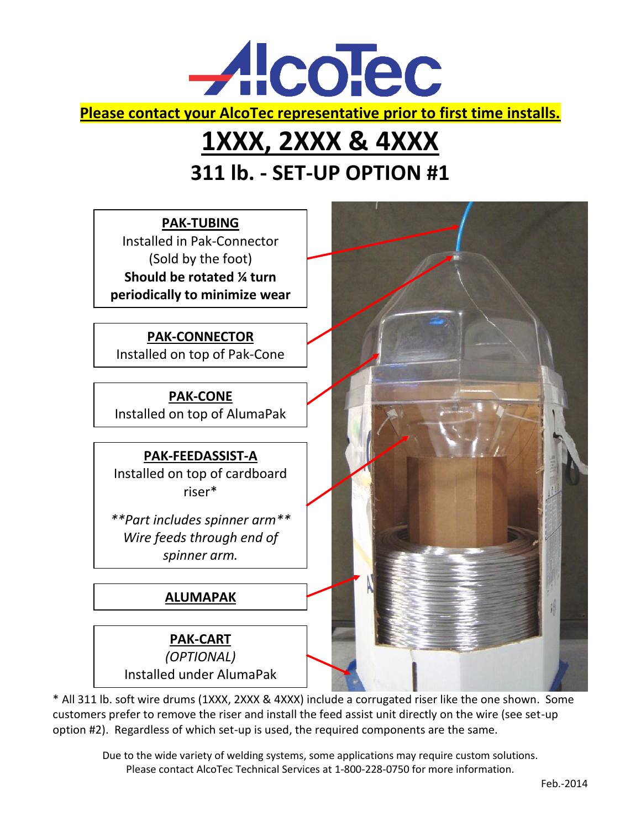

## **1XXX, 2XXX & 4XXX 311 lb. - SET-UP OPTION #1**



\* All 311 lb. soft wire drums (1XXX, 2XXX & 4XXX) include a corrugated riser like the one shown. Some customers prefer to remove the riser and install the feed assist unit directly on the wire (see set-up option #2). Regardless of which set-up is used, the required components are the same.

Due to the wide variety of welding systems, some applications may require custom solutions. Please contact AlcoTec Technical Services at 1-800-228-0750 for more information.